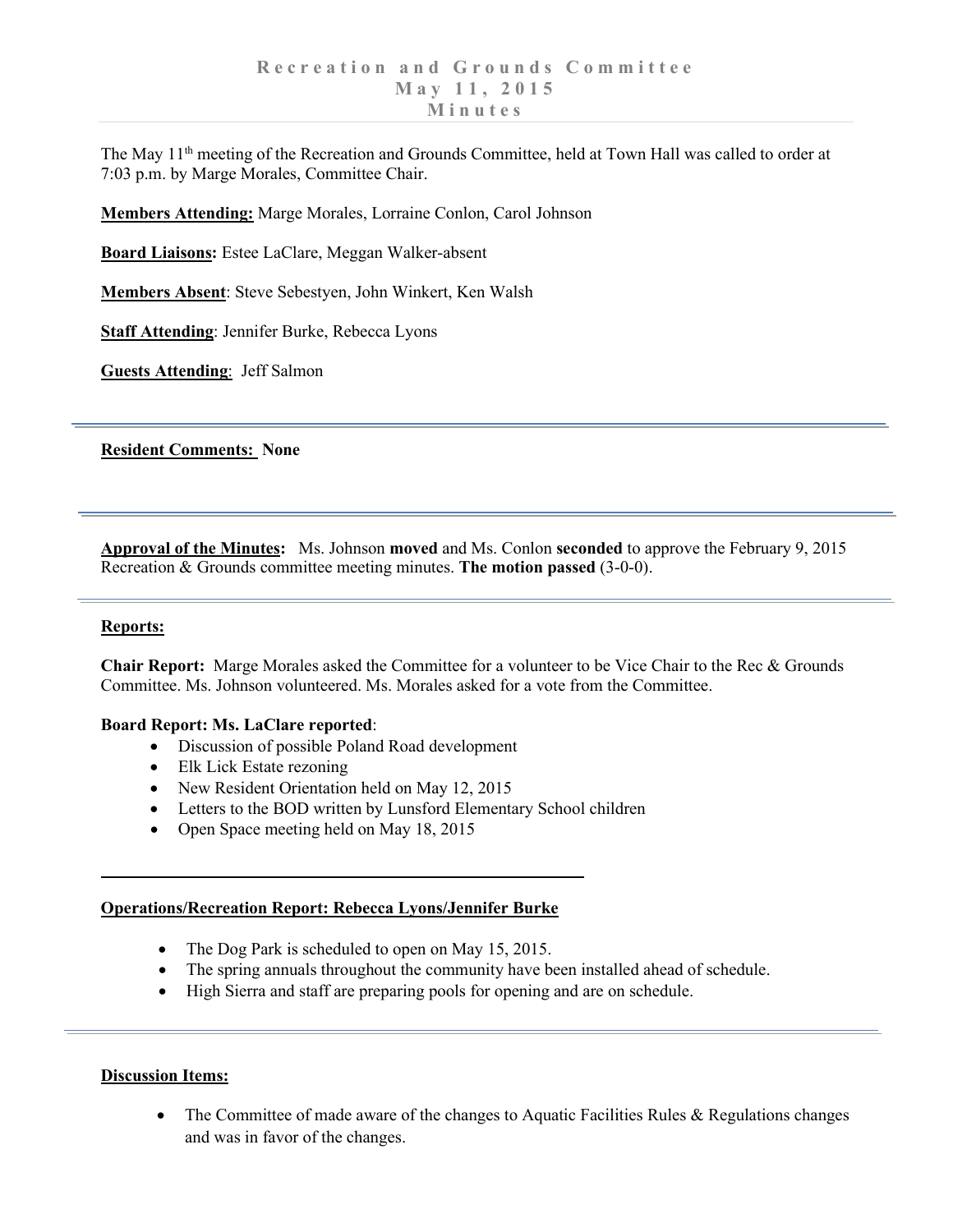The May 11<sup>th</sup> meeting of the Recreation and Grounds Committee, held at Town Hall was called to order at 7:03 p.m. by Marge Morales, Committee Chair.

**Members Attending:** Marge Morales, Lorraine Conlon, Carol Johnson

**Board Liaisons:** Estee LaClare, Meggan Walker-absent

**Members Absent**: Steve Sebestyen, John Winkert, Ken Walsh

**Staff Attending**: Jennifer Burke, Rebecca Lyons

**Guests Attending**: Jeff Salmon

**Resident Comments: None**

**Approval of the Minutes:** Ms. Johnson **moved** and Ms. Conlon **seconded** to approve the February 9, 2015 Recreation & Grounds committee meeting minutes. **The motion passed** (3-0-0).

## **Reports:**

**Chair Report:** Marge Morales asked the Committee for a volunteer to be Vice Chair to the Rec & Grounds Committee. Ms. Johnson volunteered. Ms. Morales asked for a vote from the Committee.

#### **Board Report: Ms. LaClare reported**:

- Discussion of possible Poland Road development
- Elk Lick Estate rezoning
- New Resident Orientation held on May 12, 2015
- Letters to the BOD written by Lunsford Elementary School children
- Open Space meeting held on May 18, 2015

## **Operations/Recreation Report: Rebecca Lyons/Jennifer Burke**

- The Dog Park is scheduled to open on May 15, 2015.
- The spring annuals throughout the community have been installed ahead of schedule.
- High Sierra and staff are preparing pools for opening and are on schedule.

#### **Discussion Items:**

• The Committee of made aware of the changes to Aquatic Facilities Rules & Regulations changes and was in favor of the changes.